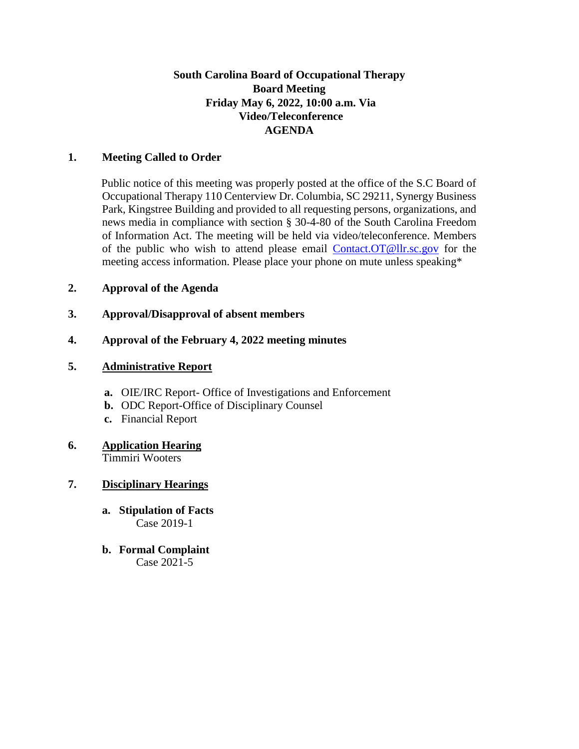## **South Carolina Board of Occupational Therapy Board Meeting Friday May 6, 2022, 10:00 a.m. Via Video/Teleconference AGENDA**

#### **1. Meeting Called to Order**

Public notice of this meeting was properly posted at the office of the S.C Board of Occupational Therapy 110 Centerview Dr. Columbia, SC 29211, Synergy Business Park, Kingstree Building and provided to all requesting persons, organizations, and news media in compliance with section § 30-4-80 of the South Carolina Freedom of Information Act. The meeting will be held via video/teleconference. Members of the public who wish to attend please email Contact.OT@llr.sc.gov for the meeting access information. Please place your phone on mute unless speaking\*

#### **2. Approval of the Agenda**

### **3. Approval/Disapproval of absent members**

### **4. Approval of the February 4, 2022 meeting minutes**

#### **5. Administrative Report**

- **a.** OIE/IRC Report- Office of Investigations and Enforcement
- **b.** ODC Report-Office of Disciplinary Counsel
- **c.** Financial Report

#### **6. Application Hearing** Timmiri Wooters

# **7. Disciplinary Hearings**

- **a. Stipulation of Facts** Case 2019-1
- **b. Formal Complaint** Case 2021-5